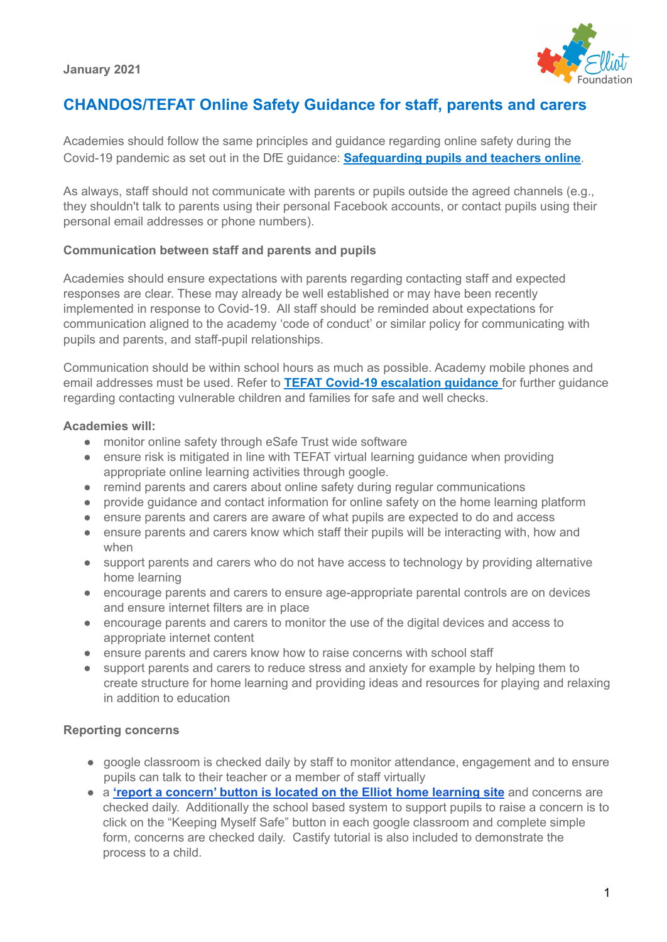

# **CHANDOS/TEFAT Online Safety Guidance for staff, parents and carers**

Academies should follow the same principles and guidance regarding online safety during the Covid-19 pandemic as set out in the DfE guidance: **[Safeguarding](https://www.gov.uk/guidance/safeguarding-and-remote-education-during-coronavirus-covid-19) pupils and teachers online**.

As always, staff should not communicate with parents or pupils outside the agreed channels (e.g., they shouldn't talk to parents using their personal Facebook accounts, or contact pupils using their personal email addresses or phone numbers).

### **Communication between staff and parents and pupils**

Academies should ensure expectations with parents regarding contacting staff and expected responses are clear. These may already be well established or may have been recently implemented in response to Covid-19. All staff should be reminded about expectations for communication aligned to the academy 'code of conduct' or similar policy for communicating with pupils and parents, and staff-pupil relationships.

Communication should be within school hours as much as possible. Academy mobile phones and email addresses must be used. Refer to **TEFAT Covid-19 [escalation](https://docs.google.com/document/d/1YYmC2AscSXudVvAuZaz8W3mOqKaxOaZ7cbSdv45bitU/edit?ts=5e7cb614) guidance** for further guidance regarding contacting vulnerable children and families for safe and well checks.

### **Academies will:**

- monitor online safety through eSafe Trust wide software
- ensure risk is mitigated in line with TEFAT virtual learning guidance when providing appropriate online learning activities through google.
- remind parents and carers about online safety during regular communications
- provide guidance and contact information for online safety on the home learning platform
- ensure parents and carers are aware of what pupils are expected to do and access
- ensure parents and carers know which staff their pupils will be interacting with, how and when
- support parents and carers who do not have access to technology by providing alternative home learning
- encourage parents and carers to ensure age-appropriate parental controls are on devices and ensure internet filters are in place
- encourage parents and carers to monitor the use of the digital devices and access to appropriate internet content
- ensure parents and carers know how to raise concerns with school staff
- support parents and carers to reduce stress and anxiety for example by helping them to create structure for home learning and providing ideas and resources for playing and relaxing in addition to education

### **Reporting concerns**

- google classroom is checked daily by staff to monitor attendance, engagement and to ensure pupils can talk to their teacher or a member of staff virtually
- a **'report a [concern'](https://docs.google.com/forms/d/e/1FAIpQLSdqnDiG7p0R7kQcB6paviVEfWzpjPbBYVAmoBK5KkhqigNcuw/viewform) button is located on the Elliot home learning site** and concerns are checked daily. Additionally the school based system to support pupils to raise a concern is to click on the "Keeping Myself Safe" button in each google classroom and complete simple form, concerns are checked daily. Castify tutorial is also included to demonstrate the process to a child.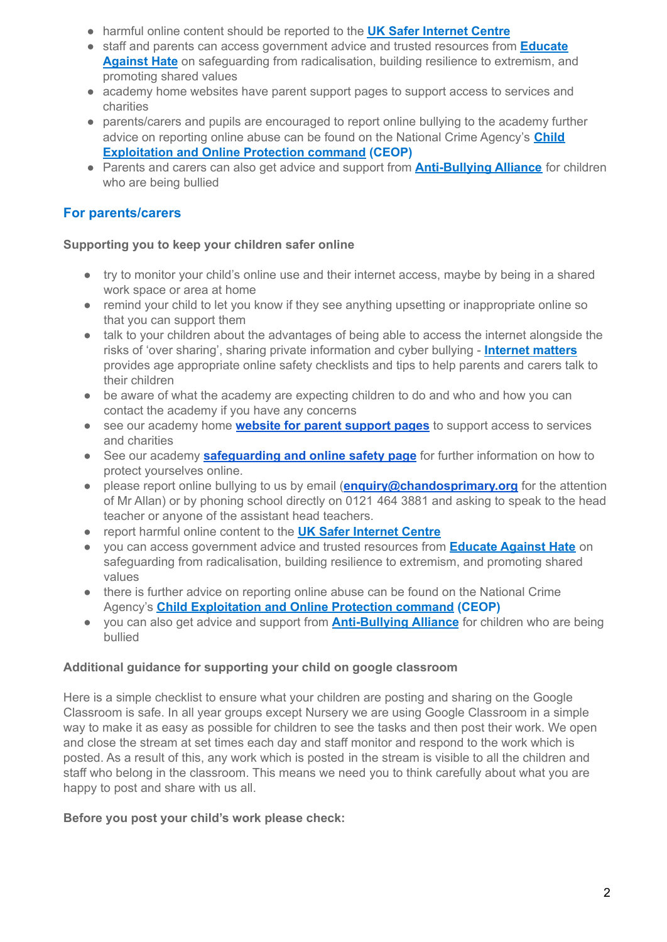- harmful online content should be reported to the **UK Safer [Internet](https://reportharmfulcontent.com/) Centre**
- staff and parents can access government advice and trusted resources from **[Educate](https://educateagainsthate.com/) [Against](https://educateagainsthate.com/) Hate** on safeguarding from radicalisation, building resilience to extremism, and promoting shared values
- academy home websites have parent support pages to support access to services and charities
- parents/carers and pupils are encouraged to report online bullying to the academy further advice on reporting online abuse can be found on the National Crime Agency's **[Child](https://www.ceop.police.uk/safety-centre/) [Exploitation](https://www.ceop.police.uk/safety-centre/) and Online Protection command (CEOP)**
- Parents and carers can also get advice and support from **[Anti-Bullying](https://www.anti-bullyingalliance.org.uk/tools-information/if-youre-being-bullied) Alliance** for children who are being bullied

# **For parents/carers**

### **Supporting you to keep your children safer online**

- try to monitor your child's online use and their internet access, maybe by being in a shared work space or area at home
- remind your child to let you know if they see anything upsetting or inappropriate online so that you can support them
- talk to your children about the advantages of being able to access the internet alongside the risks of 'over sharing', sharing private information and cyber bullying - **[Internet](https://www.internetmatters.org/?gclid=EAIaIQobChMIktuA5LWK2wIVRYXVCh2afg2aEAAYASAAEgIJ5vD_BwE) matters** provides age appropriate online safety checklists and tips to help parents and carers talk to their children
- be aware of what the academy are expecting children to do and who and how you can contact the academy if you have any concerns
- see our academy home **website for parent [support](https://www.chandos.bham.sch.uk/page/?title=COVID%2D19+UPDATES+%26amp%3B+INFORMATION&pid=152) pages** to support access to services and charities
- See our academy **[safeguarding](https://www.chandos.bham.sch.uk/page/?title=Safeguarding+and+e%2Dsafety&pid=122) and online safety page** for further information on how to protect yourselves online.
- please report online bullying to us by email (**[enquiry@chandosprimary.org](mailto:enquiry@chandosprimary.org)** for the attention of Mr Allan) or by phoning school directly on 0121 464 3881 and asking to speak to the head teacher or anyone of the assistant head teachers.
- report harmful online content to the **UK Safer [Internet](https://reportharmfulcontent.com/) Centre**
- you can access government advice and trusted resources from **[Educate](https://educateagainsthate.com/) Against Hate** on safeguarding from radicalisation, building resilience to extremism, and promoting shared values
- there is further advice on reporting online abuse can be found on the National Crime Agency's **Child [Exploitation](https://www.ceop.police.uk/safety-centre/) and Online Protection command (CEOP)**
- you can also get advice and support from **[Anti-Bullying](https://www.anti-bullyingalliance.org.uk/tools-information/if-youre-being-bullied) Alliance** for children who are being bullied

### **Additional guidance for supporting your child on google classroom**

Here is a simple checklist to ensure what your children are posting and sharing on the Google Classroom is safe. In all year groups except Nursery we are using Google Classroom in a simple way to make it as easy as possible for children to see the tasks and then post their work. We open and close the stream at set times each day and staff monitor and respond to the work which is posted. As a result of this, any work which is posted in the stream is visible to all the children and staff who belong in the classroom. This means we need you to think carefully about what you are happy to post and share with us all.

## **Before you post your child's work please check:**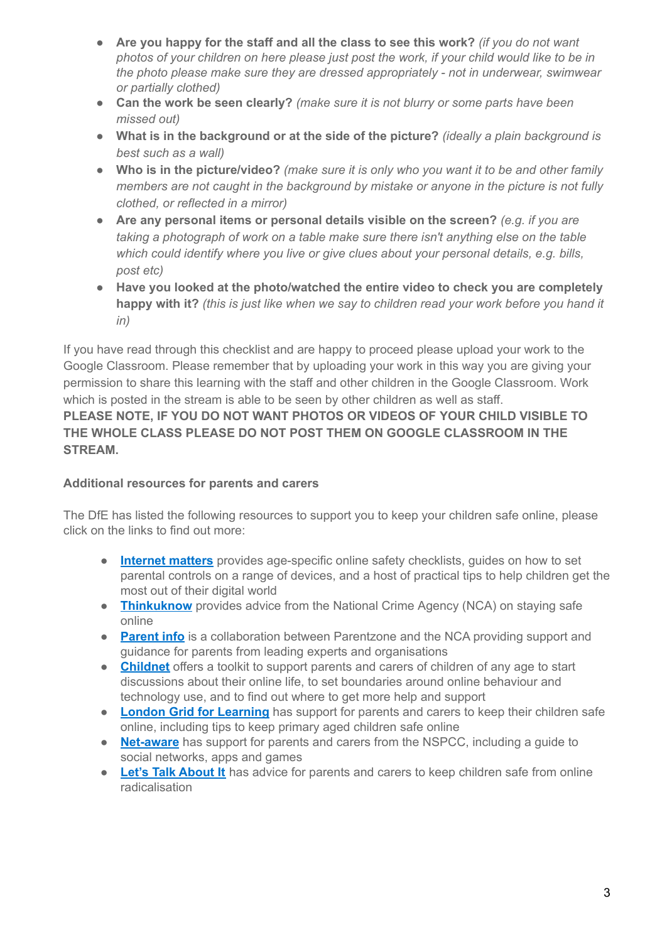- **Are you happy for the staff and all the class to see this work?** *(if you do not want* photos of your children on here please just post the work, if your child would like to be in *the photo please make sure they are dressed appropriately - not in underwear, swimwear or partially clothed)*
- **Can the work be seen clearly?** *(make sure it is not blurry or some parts have been missed out)*
- **What is in the background or at the side of the picture?** *(ideally a plain background is best such as a wall)*
- **Who is in the picture/video?** *(make sure it is only who you want it to be and other family members are not caught in the background by mistake or anyone in the picture is not fully clothed, or reflected in a mirror)*
- **Are any personal items or personal details visible on the screen?** *(e.g. if you are taking a photograph of work on a table make sure there isn't anything else on the table which could identify where you live or give clues about your personal details, e.g. bills, post etc)*
- **Have you looked at the photo/watched the entire video to check you are completely happy with it?** *(this is just like when we say to children read your work before you hand it in)*

If you have read through this checklist and are happy to proceed please upload your work to the Google Classroom. Please remember that by uploading your work in this way you are giving your permission to share this learning with the staff and other children in the Google Classroom. Work which is posted in the stream is able to be seen by other children as well as staff.

**PLEASE NOTE, IF YOU DO NOT WANT PHOTOS OR VIDEOS OF YOUR CHILD VISIBLE TO THE WHOLE CLASS PLEASE DO NOT POST THEM ON GOOGLE CLASSROOM IN THE STREAM.**

## **Additional resources for parents and carers**

The DfE has listed the following resources to support you to keep your children safe online, please click on the links to find out more:

- **[Internet](https://www.internetmatters.org/?gclid=EAIaIQobChMIktuA5LWK2wIVRYXVCh2afg2aEAAYASAAEgIJ5vD_BwE) matters** provides age-specific online safety checklists, guides on how to set parental controls on a range of devices, and a host of practical tips to help children get the most out of their digital world
- **[Thinkuknow](https://www.thinkuknow.co.uk/)** provides advice from the National Crime Agency (NCA) on staying safe online
- **[Parent](https://parentinfo.org/) info** is a collaboration between Parentzone and the NCA providing support and guidance for parents from leading experts and organisations
- **[Childnet](https://www.childnet.com/parents-and-carers/parent-and-carer-toolkit)** offers a toolkit to support parents and carers of children of any age to start discussions about their online life, to set boundaries around online behaviour and technology use, and to find out where to get more help and support
- **London Grid for [Learning](https://www.lgfl.net/online-safety/)** has support for parents and carers to keep their children safe online, including tips to keep primary aged children safe online
- **[Net-aware](https://www.net-aware.org.uk/)** has support for parents and carers from the NSPCC, including a guide to social networks, apps and games
- **Let's Talk [About](https://www.ltai.info/staying-safe-online/) It** has advice for parents and carers to keep children safe from online radicalisation